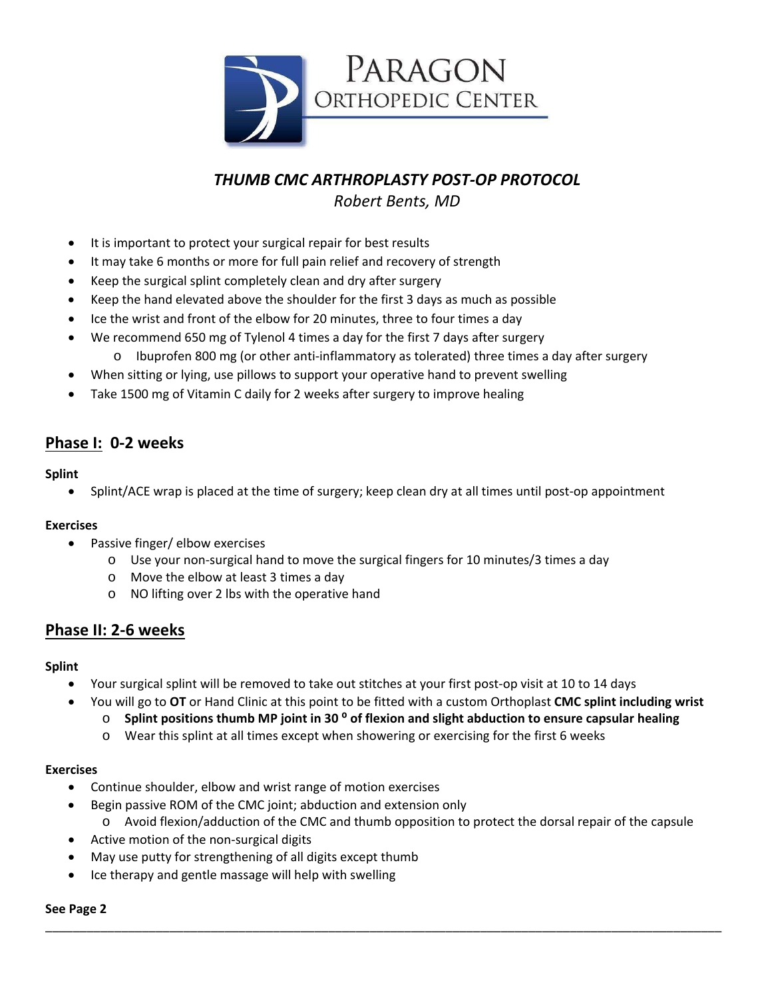

*THUMB CMC ARTHROPLASTY POST‐OP PROTOCOL*

*Robert Bents, MD*

- It is important to protect your surgical repair for best results
- It may take 6 months or more for full pain relief and recovery of strength
- Keep the surgical splint completely clean and dry after surgery
- Keep the hand elevated above the shoulder for the first 3 days as much as possible
- Ice the wrist and front of the elbow for 20 minutes, three to four times a day
- We recommend 650 mg of Tylenol 4 times a day for the first 7 days after surgery
	- $\circ$  Ibuprofen 800 mg (or other anti-inflammatory as tolerated) three times a day after surgery
- When sitting or lying, use pillows to support your operative hand to prevent swelling
- Take 1500 mg of Vitamin C daily for 2 weeks after surgery to improve healing

# **Phase I: 0‐2 weeks**

#### **Splint**

Splint/ACE wrap is placed at the time of surgery; keep clean dry at all times until post‐op appointment

### **Exercises**

- Passive finger/ elbow exercises
	- o Use your non‐surgical hand to move the surgical fingers for 10 minutes/3 times a day
	- o Move the elbow at least 3 times a day
	- o NO lifting over 2 lbs with the operative hand

### **Phase II: 2‐6 weeks**

#### **Splint**

- Your surgical splint will be removed to take out stitches at your first post‐op visit at 10 to 14 days
	- You will go to **OT** or Hand Clinic at this point to be fitted with a custom Orthoplast **CMC splint including wrist**
		- o **Splint positions thumb MP joint in 30 ⁰ of flexion and slight abduction to ensure capsular healing**
		- o Wear this splint at all times except when showering or exercising for the first 6 weeks

#### **Exercises**

- Continue shoulder, elbow and wrist range of motion exercises
- Begin passive ROM of the CMC joint; abduction and extension only
	- o Avoid flexion/adduction of the CMC and thumb opposition to protect the dorsal repair of the capsule

\_\_\_\_\_\_\_\_\_\_\_\_\_\_\_\_\_\_\_\_\_\_\_\_\_\_\_\_\_\_\_\_\_\_\_\_\_\_\_\_\_\_\_\_\_\_\_\_\_\_\_\_\_\_\_\_\_\_\_\_\_\_\_\_\_\_\_\_\_\_\_\_\_\_\_\_\_\_\_\_\_\_\_\_\_\_\_\_\_\_\_\_\_\_\_\_\_\_

- Active motion of the non‐surgical digits
- May use putty for strengthening of all digits except thumb
- Ice therapy and gentle massage will help with swelling

#### **See Page 2**